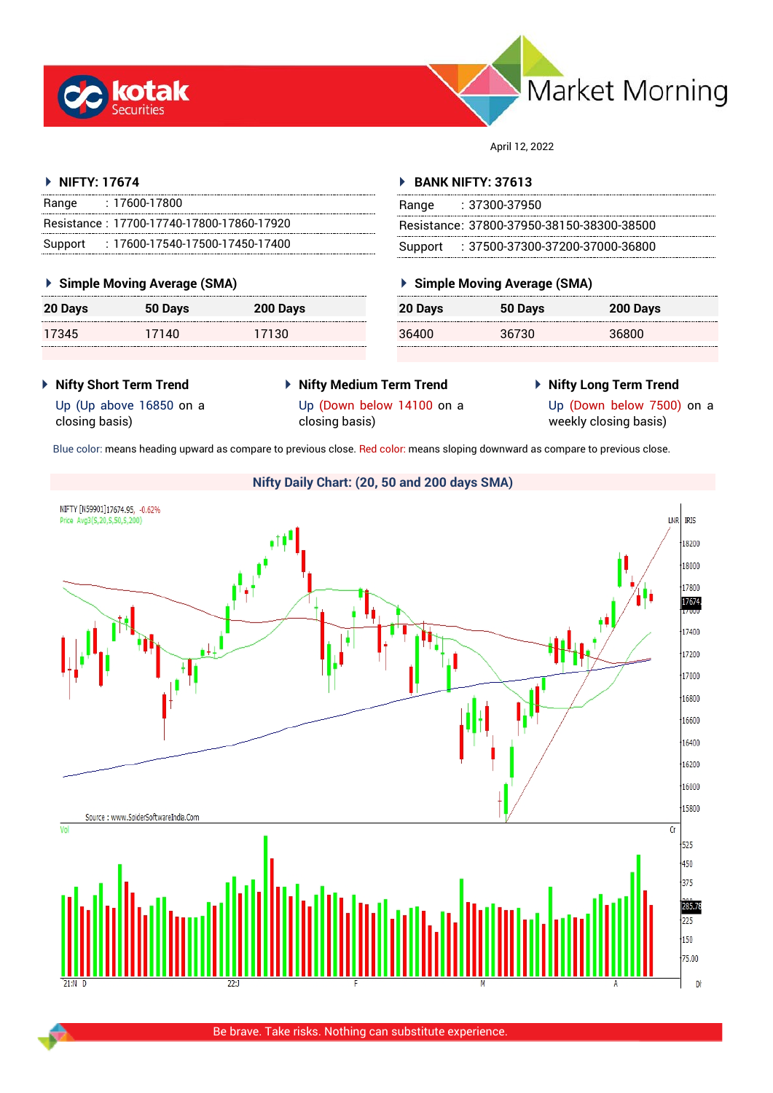



April 12, 2022

#### **NIFTY: 17674**

| Range   | : 17600-17800                             |
|---------|-------------------------------------------|
|         | Resistance: 17700-17740-17800-17860-17920 |
| Support | : 17600-17540-17500-17450-17400           |

### **Simple Moving Average (SMA)**

| 20 Days | 50 Days | 200 Days |
|---------|---------|----------|
| 17345   | 17140   | 17130    |

#### **BANK NIFTY: 37613**

| Range | : 37300-37950                             |
|-------|-------------------------------------------|
|       | Resistance: 37800-37950-38150-38300-38500 |
|       | Support : 37500-37300-37200-37000-36800   |

## **Simple Moving Average (SMA)**

| 20 Days | 50 Days | 200 Days |
|---------|---------|----------|
| 36400   | 36730   | 36800    |

- **Nifty Short Term Trend**
- **Nifty Medium Term Trend**
- **Nifty Long Term Trend**

Up (Up above 16850 on a closing basis)

Up (Down below 14100 on a closing basis)

Up (Down below 7500) on a weekly closing basis)

Blue color: means heading upward as compare to previous close. Red color: means sloping downward as compare to previous close.

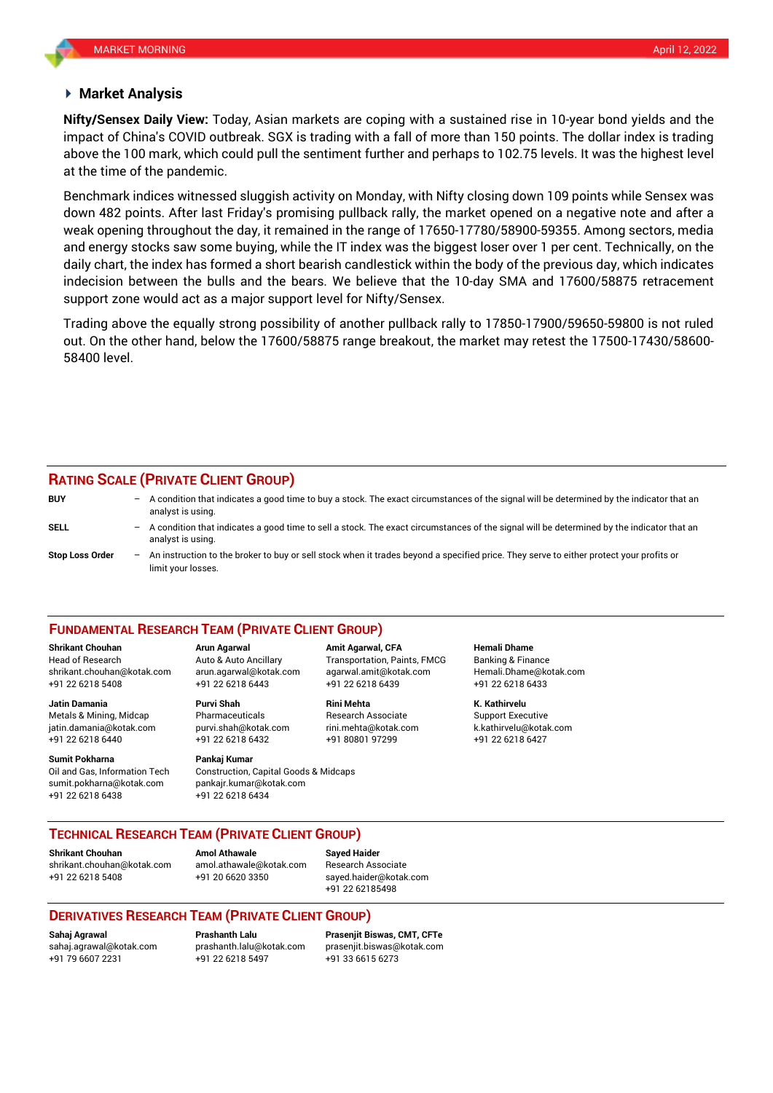#### **Market Analysis**

impact of China's COVID outbreak. SGX is trading with a fall of more than 150 points. The dollar index is trading **Nifty/Sensex Daily View:** Today, Asian markets are coping with a sustained rise in 10-year bond yields and the above the 100 mark, which could pull the sentiment further and perhaps to 102.75 levels. It was the highest level at the time of the pandemic.

Benchmark indices witnessed sluggish activity on Monday, with Nifty closing down 109 points while Sensex was down 482 points. After last Friday's promising pullback rally, the market opened on a negative note and after a weak opening throughout the day, it remained in the range of 17650-17780/58900-59355. Among sectors, media and energy stocks saw some buying, while the IT index was the biggest loser over 1 per cent. Technically, on the daily chart, the index has formed a short bearish candlestick within the body of the previous day, which indicates indecision between the bulls and the bears. We believe that the 10-day SMA and 17600/58875 retracement support zone would act as a major support level for Nifty/Sensex.

Trading above the equally strong possibility of another pullback rally to 17850-17900/59650-59800 is not ruled out. On the other hand, below the 17600/58875 range breakout, the market may retest the 17500-17430/58600- 58400 level.

#### **RATING SCALE (PRIVATE CLIENT GROUP)**

limit your losses.

**BUY** – A condition that indicates a good time to buy a stock. The exact circumstances of the signal will be determined by the indicator that an analyst is using. **SELL** – A condition that indicates a good time to sell a stock. The exact circumstances of the signal will be determined by the indicator that an analyst is using. **Stop Loss Order** – An instruction to the broker to buy or sell stock when it trades beyond a specified price. They serve to either protect your profits or

#### **FUNDAMENTAL RESEARCH TEAM (PRIVATE CLIENT GROUP)**

Head of Research Auto & Auto Ancillary Transportation, Paints, FMCG Banking & Finance [shrikant.chouhan@kotak.com](mailto:shrikant.chouhan@kotak.com) arun.agarwal@kotak.com agarwal.amit@kotak.com Hemali.Dhame@kotak.com

**Jatin Damania Purvi Shah Rini Mehta K. Kathirvelu** Metals & Mining, Midcap Pharmaceuticals Research Associate Support Executive jatin.damania@kotak.com [purvi.shah@kotak.com](mailto:purvi.shah@kotak.com) rini.mehta@kotak.com [k.kathirvelu@kotak.com](mailto:k.kathirvelu@kotak.com) +91 22 6218 6440 +91 22 6218 6432 +91 80801 97299 +91 22 6218 6427

Oil and Gas, Information Tech Construction, Capital Goods & Midcaps sumit.pokharna@kotak.com pankajr.kumar@kotak.com

+91 22 6218 5408 +91 22 6218 6443 +91 22 6218 6439 +91 22 6218 6433

# **Sumit Pokharna** Pankaj Kumar

+91 22 6218 6438 +91 22 6218 6434

**Shrikant Chouhan Arun Agarwal Amit Agarwal, CFA Hemali Dhame**

**TECHNICAL RESEARCH TEAM (PRIVATE CLIENT GROUP)**

**Shrikant Chouhan Amol Athawale Sayed Haider**

[shrikant.chouhan@kotak.com](mailto:shrikant.chouhan@kotak.com) [amol.athawale@kotak.com](mailto:amol.athawale@kotak.com) Research Associate +91 22 6218 5408 +91 20 6620 3350 [sayed.haider@kotak.com](mailto:sayed.haider@kotak.com)

+91 22 62185498

#### **DERIVATIVES RESEARCH TEAM (PRIVATE CLIENT GROUP)**

+91 79 6607 2231 +91 22 6218 5497 +91 33 6615 6273

**Sahaj Agrawal Prashanth Lalu Prasenjit Biswas, CMT, CFTe** [sahaj.agrawal@kotak.com](mailto:sahaj.agrawal@kotak.com) [prashanth.lalu@kotak.com](mailto:prashanth.lalu@kotak.com) [prasenjit.biswas@kotak.com](mailto:prasenjit.biswas@kotak.com)